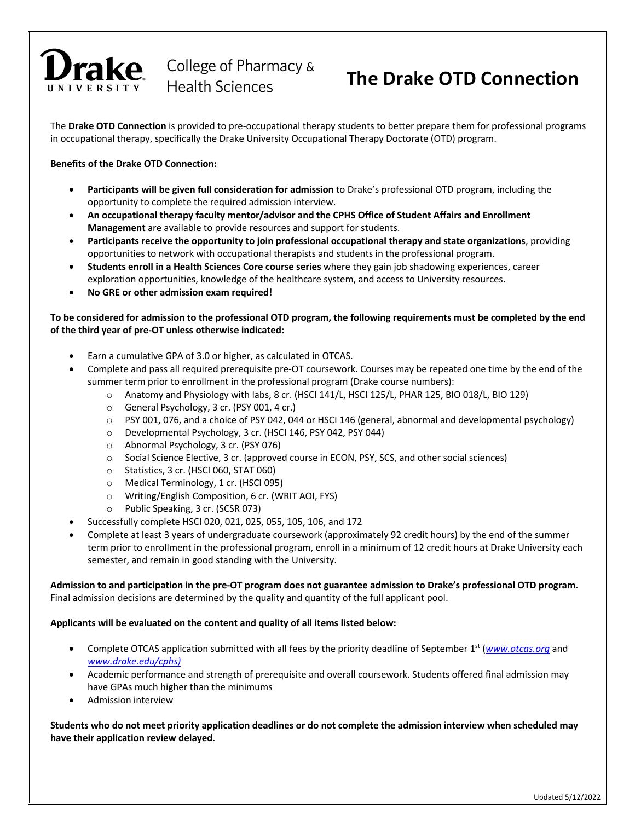# rake

College of Pharmacy & **Health Sciences** 

### **The Drake OTD Connection**

The **Drake OTD Connection** is provided to pre-occupational therapy students to better prepare them for professional programs in occupational therapy, specifically the Drake University Occupational Therapy Doctorate (OTD) program.

#### **Benefits of the Drake OTD Connection:**

- **Participants will be given full consideration for admission** to Drake's professional OTD program, including the opportunity to complete the required admission interview.
- **An occupational therapy faculty mentor/advisor and the CPHS Office of Student Affairs and Enrollment Management** are available to provide resources and support for students.
- **Participants receive the opportunity to join professional occupational therapy and state organizations**, providing opportunities to network with occupational therapists and students in the professional program.
- **Students enroll in a Health Sciences Core course series** where they gain job shadowing experiences, career exploration opportunities, knowledge of the healthcare system, and access to University resources.
- **No GRE or other admission exam required!**

#### **To be considered for admission to the professional OTD program, the following requirements must be completed by the end of the third year of pre-OT unless otherwise indicated:**

- Earn a cumulative GPA of 3.0 or higher, as calculated in OTCAS.
- Complete and pass all required prerequisite pre-OT coursework. Courses may be repeated one time by the end of the summer term prior to enrollment in the professional program (Drake course numbers):
	- o Anatomy and Physiology with labs, 8 cr. (HSCI 141/L, HSCI 125/L, PHAR 125, BIO 018/L, BIO 129)
	- o General Psychology, 3 cr. (PSY 001, 4 cr.)
	- o PSY 001, 076, and a choice of PSY 042, 044 or HSCI 146 (general, abnormal and developmental psychology)
	- o Developmental Psychology, 3 cr. (HSCI 146, PSY 042, PSY 044)
	- o Abnormal Psychology, 3 cr. (PSY 076)
	- o Social Science Elective, 3 cr. (approved course in ECON, PSY, SCS, and other social sciences)
	- o Statistics, 3 cr. (HSCI 060, STAT 060)
	- o Medical Terminology, 1 cr. (HSCI 095)
	- o Writing/English Composition, 6 cr. (WRIT AOI, FYS)
	- o Public Speaking, 3 cr. (SCSR 073)
- Successfully complete HSCI 020, 021, 025, 055, 105, 106, and 172
- Complete at least 3 years of undergraduate coursework (approximately 92 credit hours) by the end of the summer term prior to enrollment in the professional program, enroll in a minimum of 12 credit hours at Drake University each semester, and remain in good standing with the University.

**Admission to and participation in the pre-OT program does not guarantee admission to Drake's professional OTD program**. Final admission decisions are determined by the quality and quantity of the full applicant pool.

#### **Applicants will be evaluated on the content and quality of all items listed below:**

- Complete OTCAS application submitted with all fees by the priority deadline of September 1<sup>st</sup> (*www.otcas.org* and *www.drake.edu/cphs)*
- Academic performance and strength of prerequisite and overall coursework. Students offered final admission may have GPAs much higher than the minimums
- Admission interview

**Students who do not meet priority application deadlines or do not complete the admission interview when scheduled may have their application review delayed**.